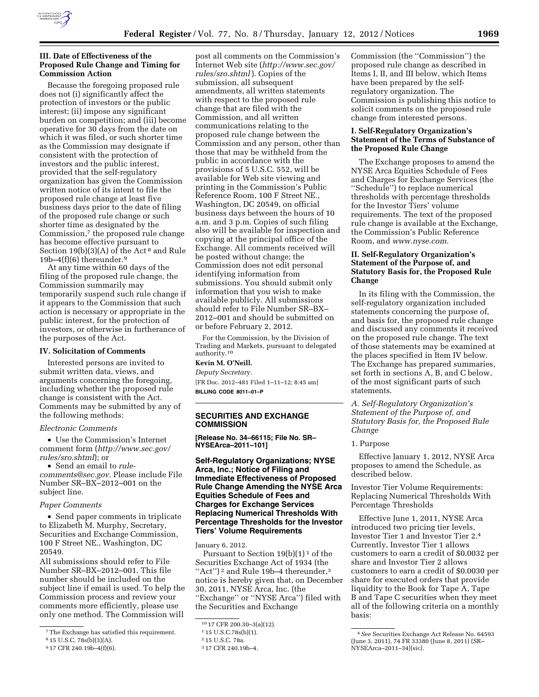

## **III. Date of Effectiveness of the Proposed Rule Change and Timing for Commission Action**

Because the foregoing proposed rule does not (i) significantly affect the protection of investors or the public interest; (ii) impose any significant burden on competition; and (iii) become operative for 30 days from the date on which it was filed, or such shorter time as the Commission may designate if consistent with the protection of investors and the public interest, provided that the self-regulatory organization has given the Commission written notice of its intent to file the proposed rule change at least five business days prior to the date of filing of the proposed rule change or such shorter time as designated by the Commission,7 the proposed rule change has become effective pursuant to Section  $19(b)(3)(A)$  of the Act<sup>8</sup> and Rule 19b–4 $(f)(6)$  thereunder.<sup>9</sup>

At any time within 60 days of the filing of the proposed rule change, the Commission summarily may temporarily suspend such rule change if it appears to the Commission that such action is necessary or appropriate in the public interest, for the protection of investors, or otherwise in furtherance of the purposes of the Act.

#### **IV. Solicitation of Comments**

Interested persons are invited to submit written data, views, and arguments concerning the foregoing, including whether the proposed rule change is consistent with the Act. Comments may be submitted by any of the following methods:

#### *Electronic Comments*

• Use the Commission's Internet comment form (*[http://www.sec.gov/](http://www.sec.gov/rules/sro.shtml)  [rules/sro.shtml](http://www.sec.gov/rules/sro.shtml)*); or

• Send an email to *[rule-](mailto:rule-comments@sec.gov)*

*[comments@sec.gov.](mailto:rule-comments@sec.gov)* Please include File Number SR–BX–2012–001 on the subject line.

#### *Paper Comments*

• Send paper comments in triplicate to Elizabeth M. Murphy, Secretary, Securities and Exchange Commission, 100 F Street NE., Washington, DC 20549.

All submissions should refer to File Number SR–BX–2012–001. This file number should be included on the subject line if email is used. To help the Commission process and review your comments more efficiently, please use only one method. The Commission will

post all comments on the Commission's Internet Web site (*[http://www.sec.gov/](http://www.sec.gov/rules/sro.shtml)  [rules/sro.shtml](http://www.sec.gov/rules/sro.shtml)*). Copies of the submission, all subsequent amendments, all written statements with respect to the proposed rule change that are filed with the Commission, and all written communications relating to the proposed rule change between the Commission and any person, other than those that may be withheld from the public in accordance with the provisions of 5 U.S.C. 552, will be available for Web site viewing and printing in the Commission's Public Reference Room, 100 F Street NE., Washington, DC 20549, on official business days between the hours of 10 a.m. and 3 p.m. Copies of such filing also will be available for inspection and copying at the principal office of the Exchange. All comments received will be posted without change; the Commission does not edit personal identifying information from submissions. You should submit only information that you wish to make available publicly. All submissions should refer to File Number SR–BX– 2012–001 and should be submitted on or before February 2, 2012.

For the Commission, by the Division of Trading and Markets, pursuant to delegated authority.10

# **Kevin M. O'Neill.**

*Deputy Secretary.*  [FR Doc. 2012–481 Filed 1–11–12; 8:45 am] **BILLING CODE 8011–01–P** 

## **SECURITIES AND EXCHANGE COMMISSION**

**[Release No. 34–66115; File No. SR– NYSEArca–2011–101]** 

# **Self-Regulatory Organizations; NYSE Arca, Inc.; Notice of Filing and Immediate Effectiveness of Proposed Rule Change Amending the NYSE Arca Equities Schedule of Fees and Charges for Exchange Services Replacing Numerical Thresholds With Percentage Thresholds for the Investor Tiers' Volume Requirements**

January 6, 2012.

Pursuant to Section  $19(b)(1)^1$  of the Securities Exchange Act of 1934 (the "Act")<sup>2</sup> and Rule 19b-4 thereunder,<sup>3</sup> notice is hereby given that, on December 30, 2011, NYSE Arca, Inc. (the ''Exchange'' or ''NYSE Arca'') filed with the Securities and Exchange

Commission (the ''Commission'') the proposed rule change as described in Items I, II, and III below, which Items have been prepared by the selfregulatory organization. The Commission is publishing this notice to solicit comments on the proposed rule change from interested persons.

## **I. Self-Regulatory Organization's Statement of the Terms of Substance of the Proposed Rule Change**

The Exchange proposes to amend the NYSE Arca Equities Schedule of Fees and Charges for Exchange Services (the ''Schedule'') to replace numerical thresholds with percentage thresholds for the Investor Tiers' volume requirements. The text of the proposed rule change is available at the Exchange, the Commission's Public Reference Room, and *[www.nyse.com](http://www.nyse.com)*.

## **II. Self-Regulatory Organization's Statement of the Purpose of, and Statutory Basis for, the Proposed Rule Change**

In its filing with the Commission, the self-regulatory organization included statements concerning the purpose of, and basis for, the proposed rule change and discussed any comments it received on the proposed rule change. The text of those statements may be examined at the places specified in Item IV below. The Exchange has prepared summaries, set forth in sections A, B, and C below, of the most significant parts of such statements.

*A. Self-Regulatory Organization's Statement of the Purpose of, and Statutory Basis for, the Proposed Rule Change* 

#### 1. Purpose

Effective January 1, 2012, NYSE Arca proposes to amend the Schedule, as described below.

Investor Tier Volume Requirements: Replacing Numerical Thresholds With Percentage Thresholds

Effective June 1, 2011, NYSE Arca introduced two pricing tier levels, Investor Tier 1 and Investor Tier 2.4 Currently, Investor Tier 1 allows customers to earn a credit of \$0.0032 per share and Investor Tier 2 allows customers to earn a credit of \$0.0030 per share for executed orders that provide liquidity to the Book for Tape A, Tape B and Tape C securities when they meet all of the following criteria on a monthly basis:

<sup>7</sup>The Exchange has satisfied this requirement.

<sup>8</sup> 15 U.S.C. 78s(b)(3)(A).

<sup>9</sup> 17 CFR 240.19b–4(f)(6).

<sup>10</sup> 17 CFR 200.30–3(a)(12).

<sup>1</sup> 15 U.S.C.78s(b)(1).

<sup>2</sup> 15 U.S.C. 78a.

<sup>3</sup> 17 CFR 240.19b–4.

<sup>4</sup>*See* Securities Exchange Act Release No. 64593 (June 3, 2011), 74 FR 33380 (June 8, 2011) (SR– NYSEArca–2011–34)[sic].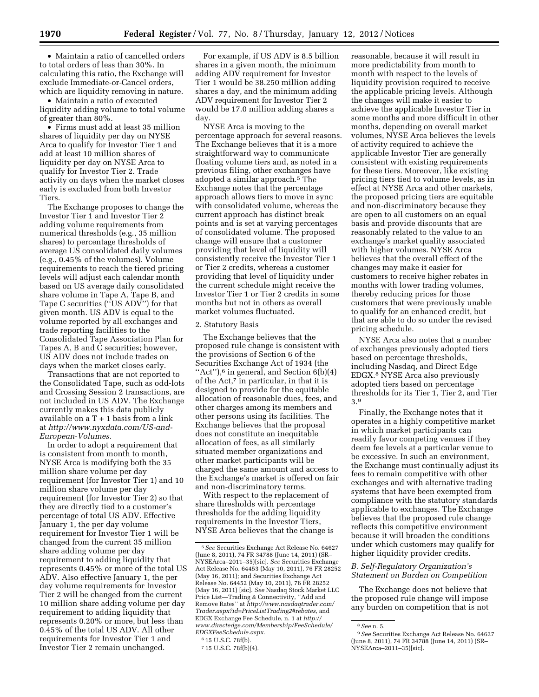• Maintain a ratio of cancelled orders to total orders of less than 30%. In calculating this ratio, the Exchange will exclude Immediate-or-Cancel orders, which are liquidity removing in nature.

• Maintain a ratio of executed liquidity adding volume to total volume of greater than 80%.

• Firms must add at least 35 million shares of liquidity per day on NYSE Arca to qualify for Investor Tier 1 and add at least 10 million shares of liquidity per day on NYSE Arca to qualify for Investor Tier 2. Trade activity on days when the market closes early is excluded from both Investor Tiers.

The Exchange proposes to change the Investor Tier 1 and Investor Tier 2 adding volume requirements from numerical thresholds (e.g., 35 million shares) to percentage thresholds of average US consolidated daily volumes (e.g., 0.45% of the volumes). Volume requirements to reach the tiered pricing levels will adjust each calendar month based on US average daily consolidated share volume in Tape A, Tape B, and Tape C securities (''US ADV'') for that given month. US ADV is equal to the volume reported by all exchanges and trade reporting facilities to the Consolidated Tape Association Plan for Tapes A, B and C securities; however, US ADV does not include trades on days when the market closes early.

Transactions that are not reported to the Consolidated Tape, such as odd-lots and Crossing Session 2 transactions, are not included in US ADV. The Exchange currently makes this data publicly available on a T + 1 basis from a link at *[http://www.nyxdata.com/US-and-](http://www.nyxdata.com/US-and-European-Volumes)[European-Volumes.](http://www.nyxdata.com/US-and-European-Volumes)* 

In order to adopt a requirement that is consistent from month to month, NYSE Arca is modifying both the 35 million share volume per day requirement (for Investor Tier 1) and 10 million share volume per day requirement (for Investor Tier 2) so that they are directly tied to a customer's percentage of total US ADV. Effective January 1, the per day volume requirement for Investor Tier 1 will be changed from the current 35 million share adding volume per day requirement to adding liquidity that represents 0.45% or more of the total US ADV. Also effective January 1, the per day volume requirements for Investor Tier 2 will be changed from the current 10 million share adding volume per day requirement to adding liquidity that represents 0.20% or more, but less than 0.45% of the total US ADV. All other requirements for Investor Tier 1 and Investor Tier 2 remain unchanged.

For example, if US ADV is 8.5 billion shares in a given month, the minimum adding ADV requirement for Investor Tier 1 would be 38.250 million adding shares a day, and the minimum adding ADV requirement for Investor Tier 2 would be 17.0 million adding shares a day.

NYSE Arca is moving to the percentage approach for several reasons. The Exchange believes that it is a more straightforward way to communicate floating volume tiers and, as noted in a previous filing, other exchanges have adopted a similar approach.5 The Exchange notes that the percentage approach allows tiers to move in sync with consolidated volume, whereas the current approach has distinct break points and is set at varying percentages of consolidated volume. The proposed change will ensure that a customer providing that level of liquidity will consistently receive the Investor Tier 1 or Tier 2 credits, whereas a customer providing that level of liquidity under the current schedule might receive the Investor Tier 1 or Tier 2 credits in some months but not in others as overall market volumes fluctuated.

#### 2. Statutory Basis

The Exchange believes that the proposed rule change is consistent with the provisions of Section 6 of the Securities Exchange Act of 1934 (the "Act"), $6$  in general, and Section  $6(b)(4)$ of the Act,<sup>7</sup> in particular, in that it is designed to provide for the equitable allocation of reasonable dues, fees, and other charges among its members and other persons using its facilities. The Exchange believes that the proposal does not constitute an inequitable allocation of fees, as all similarly situated member organizations and other market participants will be charged the same amount and access to the Exchange's market is offered on fair and non-discriminatory terms.

With respect to the replacement of share thresholds with percentage thresholds for the adding liquidity requirements in the Investor Tiers, NYSE Arca believes that the change is

reasonable, because it will result in more predictability from month to month with respect to the levels of liquidity provision required to receive the applicable pricing levels. Although the changes will make it easier to achieve the applicable Investor Tier in some months and more difficult in other months, depending on overall market volumes, NYSE Arca believes the levels of activity required to achieve the applicable Investor Tier are generally consistent with existing requirements for these tiers. Moreover, like existing pricing tiers tied to volume levels, as in effect at NYSE Arca and other markets, the proposed pricing tiers are equitable and non-discriminatory because they are open to all customers on an equal basis and provide discounts that are reasonably related to the value to an exchange's market quality associated with higher volumes. NYSE Arca believes that the overall effect of the changes may make it easier for customers to receive higher rebates in months with lower trading volumes, thereby reducing prices for those customers that were previously unable to qualify for an enhanced credit, but that are able to do so under the revised pricing schedule.

NYSE Arca also notes that a number of exchanges previously adopted tiers based on percentage thresholds, including Nasdaq, and Direct Edge EDGX.8 NYSE Arca also previously adopted tiers based on percentage thresholds for its Tier 1, Tier 2, and Tier 3.9

Finally, the Exchange notes that it operates in a highly competitive market in which market participants can readily favor competing venues if they deem fee levels at a particular venue to be excessive. In such an environment, the Exchange must continually adjust its fees to remain competitive with other exchanges and with alternative trading systems that have been exempted from compliance with the statutory standards applicable to exchanges. The Exchange believes that the proposed rule change reflects this competitive environment because it will broaden the conditions under which customers may qualify for higher liquidity provider credits.

## *B. Self-Regulatory Organization's Statement on Burden on Competition*

The Exchange does not believe that the proposed rule change will impose any burden on competition that is not

<sup>5</sup>*See* Securities Exchange Act Release No. 64627 (June 8, 2011), 74 FR 34788 (June 14, 2011) (SR– NYSEArca–2011–35)[sic]. *See* Securities Exchange Act Release No. 64453 (May 10, 2011), 76 FR 28252 (May 16, 2011); and Securities Exchange Act Release No. 64452 (May 10, 2011), 76 FR 28252 (May 16, 2011) [sic]. *See* Nasdaq Stock Market LLC Price List—Trading & Connectivity, ''Add and Remove Rates'' at *[http://www.nasdaqtrader.com/](http://www.nasdaqtrader.com/Trader.aspx?id=PriceListTrading2#rebates)  [Trader.aspx?id=PriceListTrading2#rebates,](http://www.nasdaqtrader.com/Trader.aspx?id=PriceListTrading2#rebates)* and EDGX Exchange Fee Schedule, n. 1 at *[http://](http://www.directedge.com/Membership/FeeSchedule/EDGXFeeSchedule.aspx) [www.directedge.com/Membership/FeeSchedule/](http://www.directedge.com/Membership/FeeSchedule/EDGXFeeSchedule.aspx)  [EDGXFeeSchedule.aspx.](http://www.directedge.com/Membership/FeeSchedule/EDGXFeeSchedule.aspx)* 

<sup>6</sup> 15 U.S.C. 78f(b).

<sup>7</sup> 15 U.S.C. 78f(b)(4).

<sup>8</sup>*See* n. 5.

<sup>9</sup>*See* Securities Exchange Act Release No. 64627 (June 8, 2011), 74 FR 34788 (June 14, 2011) (SR– NYSEArca–2011–35)[sic].